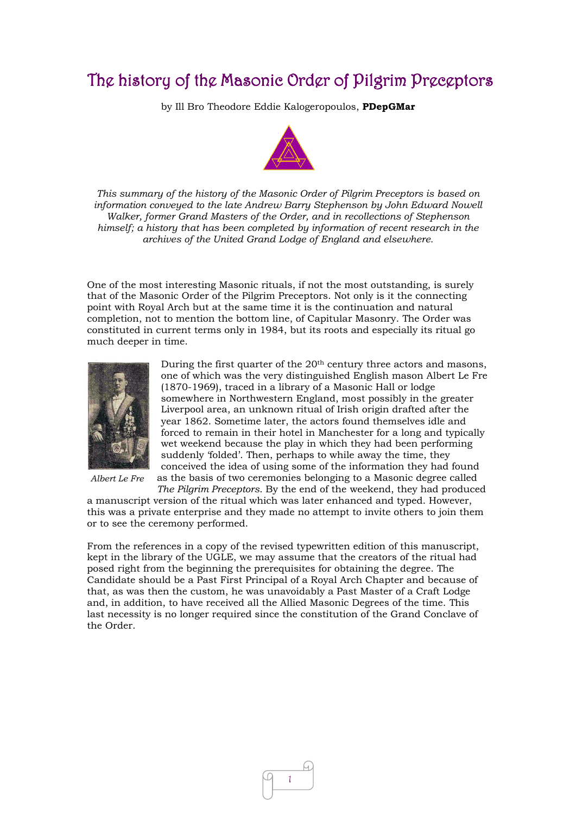## The history of the Masonic Order of Pilgrim Preceptors

by Ill Bro Theodore Eddie Kalogeropoulos, **PDepGMar**



*This summary of the history of the Masonic Order of Pilgrim Preceptors is based on information conveyed to the late Andrew Barry Stephenson by John Edward Nowell Walker, former Grand Masters of the Order, and in recollections of Stephenson himself; a history that has been completed by information of recent research in the archives of the United Grand Lodge of England and elsewhere.*

One of the most interesting Masonic rituals, if not the most outstanding, is surely that of the Masonic Order of the Pilgrim Preceptors. Not only is it the connecting point with Royal Arch but at the same time it is the continuation and natural completion, not to mention the bottom line, of Capitular Masonry. The Order was constituted in current terms only in 1984, but its roots and especially its ritual go much deeper in time.



*Albert Le Fre* 

During the first quarter of the  $20<sup>th</sup>$  century three actors and masons, one of which was the very distinguished English mason Albert Le Fre (1870-1969), traced in a library of a Masonic Hall or lodge somewhere in Northwestern England, most possibly in the greater Liverpool area, an unknown ritual of Irish origin drafted after the year 1862. Sometime later, the actors found themselves idle and forced to remain in their hotel in Manchester for a long and typically wet weekend because the play in which they had been performing suddenly 'folded'. Then, perhaps to while away the time, they conceived the idea of using some of the information they had found as the basis of two ceremonies belonging to a Masonic degree called *The Pilgrim Preceptors*. By the end of the weekend, they had produced

a manuscript version of the ritual which was later enhanced and typed. However, this was a private enterprise and they made no attempt to invite others to join them or to see the ceremony performed.

From the references in a copy of the revised typewritten edition of this manuscript, kept in the library of the UGLE, we may assume that the creators of the ritual had posed right from the beginning the prerequisites for obtaining the degree. The Candidate should be a Past First Principal of a Royal Arch Chapter and because of that, as was then the custom, he was unavoidably a Past Master of a Craft Lodge and, in addition, to have received all the Allied Masonic Degrees of the time. This last necessity is no longer required since the constitution of the Grand Conclave of the Order.

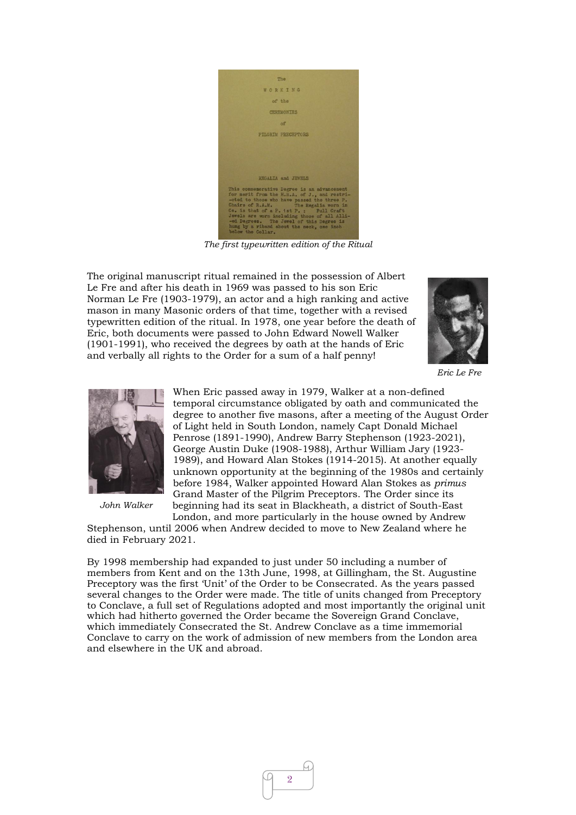

*The first typewritten edition of the Ritual*

The original manuscript ritual remained in the possession of Albert Le Fre and after his death in 1969 was passed to his son Eric Norman Le Fre (1903-1979), an actor and a high ranking and active mason in many Masonic orders of that time, together with a revised typewritten edition of the ritual. In 1978, one year before the death of Eric, both documents were passed to John Edward Nowell Walker (1901-1991), who received the degrees by oath at the hands of Eric and verbally all rights to the Order for a sum of a half penny!



*Eric Le Fre*



*John Walker*

When Eric passed away in 1979, Walker at a non-defined temporal circumstance obligated by oath and communicated the degree to another five masons, after a meeting of the August Order of Light held in South London, namely Capt Donald Michael Penrose (1891-1990), Andrew Barry Stephenson (1923-2021), George Austin Duke (1908-1988), Arthur William Jary (1923- 1989), and Howard Alan Stokes (1914-2015). At another equally unknown opportunity at the beginning of the 1980s and certainly before 1984, Walker appointed Howard Alan Stokes as *primus*  Grand Master of the Pilgrim Preceptors. The Order since its beginning had its seat in Blackheath, a district of South-East London, and more particularly in the house owned by Andrew

Stephenson, until 2006 when Andrew decided to move to New Zealand where he died in February 2021.

By 1998 membership had expanded to just under 50 including a number of members from Kent and on the 13th June, 1998, at Gillingham, the St. Augustine Preceptory was the first 'Unit' of the Order to be Consecrated. As the years passed several changes to the Order were made. The title of units changed from Preceptory to Conclave, a full set of Regulations adopted and most importantly the original unit which had hitherto governed the Order became the Sovereign Grand Conclave, which immediately Consecrated the St. Andrew Conclave as a time immemorial Conclave to carry on the work of admission of new members from the London area and elsewhere in the UK and abroad.